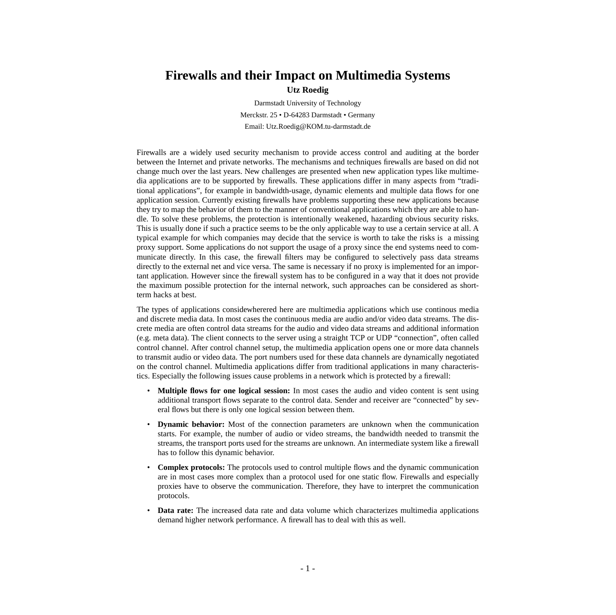## **Firewalls and their Impact on Multimedia Systems Utz Roedig**

Darmstadt University of Technology Merckstr. 25 • D-64283 Darmstadt • Germany Email: Utz.Roedig@KOM.tu-darmstadt.de

Firewalls are a widely used security mechanism to provide access control and auditing at the border between the Internet and private networks. The mechanisms and techniques firewalls are based on did not change much over the last years. New challenges are presented when new application types like multimedia applications are to be supported by firewalls. These applications differ in many aspects from "traditional applications", for example in bandwidth-usage, dynamic elements and multiple data flows for one application session. Currently existing firewalls have problems supporting these new applications because they try to map the behavior of them to the manner of conventional applications which they are able to handle. To solve these problems, the protection is intentionally weakened, hazarding obvious security risks. This is usually done if such a practice seems to be the only applicable way to use a certain service at all. A typical example for which companies may decide that the service is worth to take the risks is a missing proxy support. Some applications do not support the usage of a proxy since the end systems need to communicate directly. In this case, the firewall filters may be configured to selectively pass data streams directly to the external net and vice versa. The same is necessary if no proxy is implemented for an important application. However since the firewall system has to be configured in a way that it does not provide the maximum possible protection for the internal network, such approaches can be considered as shortterm hacks at best.

The types of applications considewherered here are multimedia applications which use continous media and discrete media data. In most cases the continuous media are audio and/or video data streams. The discrete media are often control data streams for the audio and video data streams and additional information (e.g. meta data). The client connects to the server using a straight TCP or UDP "connection", often called control channel. After control channel setup, the multimedia application opens one or more data channels to transmit audio or video data. The port numbers used for these data channels are dynamically negotiated on the control channel. Multimedia applications differ from traditional applications in many characteristics. Especially the following issues cause problems in a network which is protected by a firewall:

- **Multiple flows for one logical session:** In most cases the audio and video content is sent using additional transport flows separate to the control data. Sender and receiver are "connected" by several flows but there is only one logical session between them.
- **Dynamic behavior:** Most of the connection parameters are unknown when the communication starts. For example, the number of audio or video streams, the bandwidth needed to transmit the streams, the transport ports used for the streams are unknown. An intermediate system like a firewall has to follow this dynamic behavior.
- **Complex protocols:** The protocols used to control multiple flows and the dynamic communication are in most cases more complex than a protocol used for one static flow. Firewalls and especially proxies have to observe the communication. Therefore, they have to interpret the communication protocols.
- **Data rate:** The increased data rate and data volume which characterizes multimedia applications demand higher network performance. A firewall has to deal with this as well.